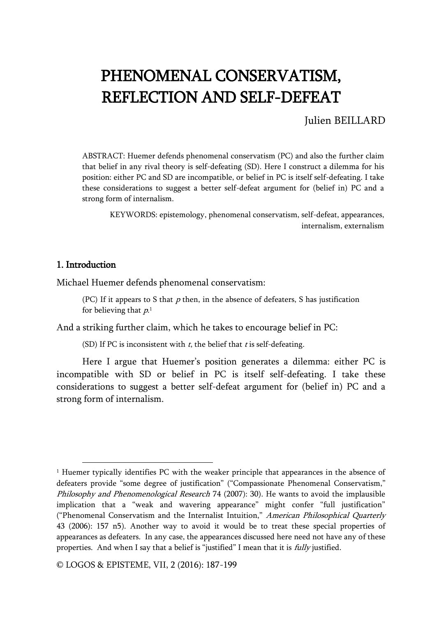# PHENOMENAL CONSERVATISM, REFLECTION AND SELF-DEFEAT

## Julien BEILLARD

ABSTRACT: Huemer defends phenomenal conservatism (PC) and also the further claim that belief in any rival theory is self-defeating (SD). Here I construct a dilemma for his position: either PC and SD are incompatible, or belief in PC is itself self-defeating. I take these considerations to suggest a better self-defeat argument for (belief in) PC and a strong form of internalism.

KEYWORDS: epistemology, phenomenal conservatism, self-defeat, appearances, internalism, externalism

#### 1. Introduction

j

Michael Huemer defends phenomenal conservatism:

(PC) If it appears to S that  $p$  then, in the absence of defeaters, S has justification for believing that  $p_{\cdot}$   $^1$ 

And a striking further claim, which he takes to encourage belief in PC:

(SD) If PC is inconsistent with  $t$ , the belief that  $t$  is self-defeating.

Here I argue that Huemer's position generates a dilemma: either PC is incompatible with SD or belief in PC is itself self-defeating. I take these considerations to suggest a better self-defeat argument for (belief in) PC and a strong form of internalism.

 $1$  Huemer typically identifies PC with the weaker principle that appearances in the absence of defeaters provide "some degree of justification" ("Compassionate Phenomenal Conservatism," Philosophy and Phenomenological Research 74 (2007): 30). He wants to avoid the implausible implication that a "weak and wavering appearance" might confer "full justification" ("Phenomenal Conservatism and the Internalist Intuition," American Philosophical Quarterly 43 (2006): 157 n5). Another way to avoid it would be to treat these special properties of appearances as defeaters. In any case, the appearances discussed here need not have any of these properties. And when I say that a belief is "justified" I mean that it is *fully* justified.

<sup>©</sup> LOGOS & EPISTEME, VII, 2 (2016): 187-199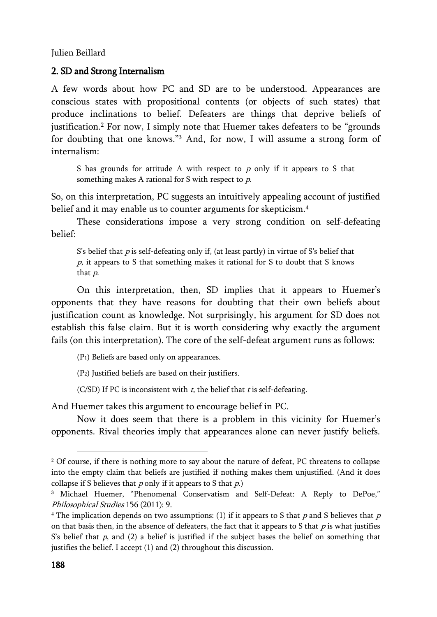## 2. SD and Strong Internalism

A few words about how PC and SD are to be understood. Appearances are conscious states with propositional contents (or objects of such states) that produce inclinations to belief. Defeaters are things that deprive beliefs of justification.<sup>2</sup> For now, I simply note that Huemer takes defeaters to be "grounds for doubting that one knows."<sup>3</sup> And, for now, I will assume a strong form of internalism:

S has grounds for attitude A with respect to  $p$  only if it appears to S that something makes A rational for S with respect to  $p$ .

So, on this interpretation, PC suggests an intuitively appealing account of justified belief and it may enable us to counter arguments for skepticism.<sup>4</sup>

These considerations impose a very strong condition on self-defeating belief:

S's belief that  $p$  is self-defeating only if, (at least partly) in virtue of S's belief that <sup>p</sup>, it appears to S that something makes it rational for S to doubt that S knows that p.

On this interpretation, then, SD implies that it appears to Huemer's opponents that they have reasons for doubting that their own beliefs about justification count as knowledge. Not surprisingly, his argument for SD does not establish this false claim. But it is worth considering why exactly the argument fails (on this interpretation). The core of the self-defeat argument runs as follows:

(P1) Beliefs are based only on appearances.

(P2) Justified beliefs are based on their justifiers.

(C/SD) If PC is inconsistent with  $t$ , the belief that  $t$  is self-defeating.

And Huemer takes this argument to encourage belief in PC.

Now it does seem that there is a problem in this vicinity for Huemer's opponents. Rival theories imply that appearances alone can never justify beliefs.

<sup>&</sup>lt;sup>2</sup> Of course, if there is nothing more to say about the nature of defeat, PC threatens to collapse into the empty claim that beliefs are justified if nothing makes them unjustified. (And it does collapse if S believes that  $p$  only if it appears to S that  $p$ .)

<sup>3</sup> Michael Huemer, "Phenomenal Conservatism and Self-Defeat: A Reply to DePoe," Philosophical Studies 156 (2011): 9.

<sup>&</sup>lt;sup>4</sup> The implication depends on two assumptions: (1) if it appears to S that p and S believes that p on that basis then, in the absence of defeaters, the fact that it appears to S that  $p$  is what justifies S's belief that  $p$ , and (2) a belief is justified if the subject bases the belief on something that justifies the belief. I accept (1) and (2) throughout this discussion.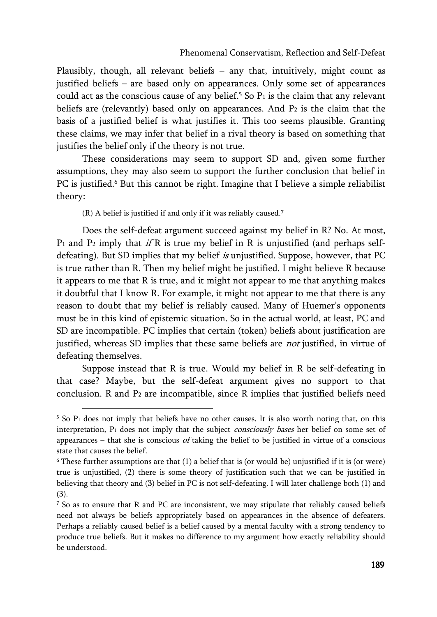Plausibly, though, all relevant beliefs – any that, intuitively, might count as justified beliefs – are based only on appearances. Only some set of appearances could act as the conscious cause of any belief.<sup>5</sup> So  $P_1$  is the claim that any relevant beliefs are (relevantly) based only on appearances. And P<sup>2</sup> is the claim that the basis of a justified belief is what justifies it. This too seems plausible. Granting these claims, we may infer that belief in a rival theory is based on something that justifies the belief only if the theory is not true.

These considerations may seem to support SD and, given some further assumptions, they may also seem to support the further conclusion that belief in PC is justified.<sup>6</sup> But this cannot be right. Imagine that I believe a simple reliabilist theory:

(R) A belief is justified if and only if it was reliably caused.<sup>7</sup>

j

Does the self-defeat argument succeed against my belief in R? No. At most,  $P_1$  and  $P_2$  imply that if R is true my belief in R is unjustified (and perhaps selfdefeating). But SD implies that my belief is unjustified. Suppose, however, that PC is true rather than R. Then my belief might be justified. I might believe R because it appears to me that R is true, and it might not appear to me that anything makes it doubtful that I know R. For example, it might not appear to me that there is any reason to doubt that my belief is reliably caused. Many of Huemer's opponents must be in this kind of epistemic situation. So in the actual world, at least, PC and SD are incompatible. PC implies that certain (token) beliefs about justification are justified, whereas SD implies that these same beliefs are *not* justified, in virtue of defeating themselves.

Suppose instead that R is true. Would my belief in R be self-defeating in that case? Maybe, but the self-defeat argument gives no support to that conclusion. R and P<sup>2</sup> are incompatible, since R implies that justified beliefs need

 $5$  So P<sub>1</sub> does not imply that beliefs have no other causes. It is also worth noting that, on this interpretation,  $P_1$  does not imply that the subject *consciously bases* her belief on some set of appearances – that she is conscious of taking the belief to be justified in virtue of a conscious state that causes the belief.

 $6$  These further assumptions are that  $(1)$  a belief that is (or would be) unjustified if it is (or were) true is unjustified, (2) there is some theory of justification such that we can be justified in believing that theory and (3) belief in PC is not self-defeating. I will later challenge both (1) and (3).

<sup>7</sup> So as to ensure that R and PC are inconsistent, we may stipulate that reliably caused beliefs need not always be beliefs appropriately based on appearances in the absence of defeaters. Perhaps a reliably caused belief is a belief caused by a mental faculty with a strong tendency to produce true beliefs. But it makes no difference to my argument how exactly reliability should be understood.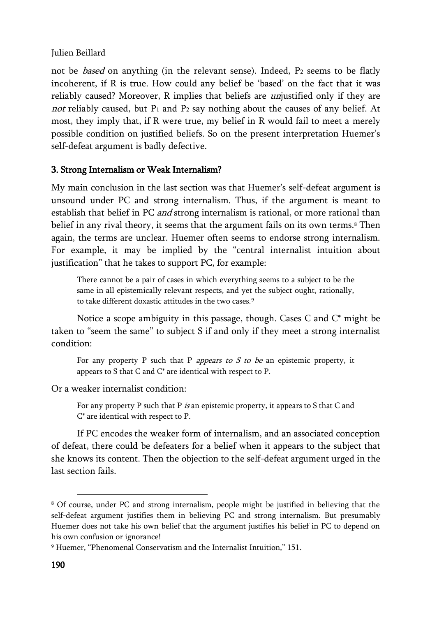not be *based* on anything (in the relevant sense). Indeed, P<sub>2</sub> seems to be flatly incoherent, if R is true. How could any belief be 'based' on the fact that it was reliably caused? Moreover, R implies that beliefs are *un*justified only if they are not reliably caused, but  $P_1$  and  $P_2$  say nothing about the causes of any belief. At most, they imply that, if R were true, my belief in R would fail to meet a merely possible condition on justified beliefs. So on the present interpretation Huemer's self-defeat argument is badly defective.

## 3. Strong Internalism or Weak Internalism?

My main conclusion in the last section was that Huemer's self-defeat argument is unsound under PC and strong internalism. Thus, if the argument is meant to establish that belief in PC and strong internalism is rational, or more rational than belief in any rival theory, it seems that the argument fails on its own terms.<sup>8</sup> Then again, the terms are unclear. Huemer often seems to endorse strong internalism. For example, it may be implied by the "central internalist intuition about justification" that he takes to support PC, for example:

There cannot be a pair of cases in which everything seems to a subject to be the same in all epistemically relevant respects, and yet the subject ought, rationally, to take different doxastic attitudes in the two cases.<sup>9</sup>

Notice a scope ambiguity in this passage, though. Cases C and C\* might be taken to "seem the same" to subject S if and only if they meet a strong internalist condition:

For any property P such that P *appears to S to be* an epistemic property, it appears to S that C and C\* are identical with respect to P.

Or a weaker internalist condition:

For any property P such that P is an epistemic property, it appears to S that C and C\* are identical with respect to P.

If PC encodes the weaker form of internalism, and an associated conception of defeat, there could be defeaters for a belief when it appears to the subject that she knows its content. Then the objection to the self-defeat argument urged in the last section fails.

<sup>8</sup> Of course, under PC and strong internalism, people might be justified in believing that the self-defeat argument justifies them in believing PC and strong internalism. But presumably Huemer does not take his own belief that the argument justifies his belief in PC to depend on his own confusion or ignorance!

<sup>9</sup> Huemer, "Phenomenal Conservatism and the Internalist Intuition," 151.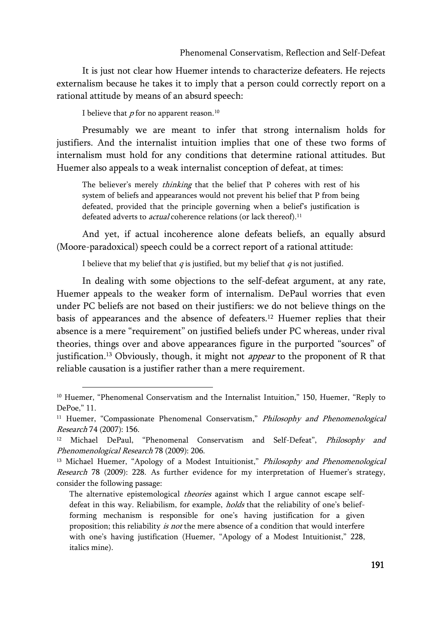It is just not clear how Huemer intends to characterize defeaters. He rejects externalism because he takes it to imply that a person could correctly report on a rational attitude by means of an absurd speech:

I believe that  $p$  for no apparent reason.<sup>10</sup>

j

Presumably we are meant to infer that strong internalism holds for justifiers. And the internalist intuition implies that one of these two forms of internalism must hold for any conditions that determine rational attitudes. But Huemer also appeals to a weak internalist conception of defeat, at times:

The believer's merely *thinking* that the belief that P coheres with rest of his system of beliefs and appearances would not prevent his belief that P from being defeated, provided that the principle governing when a belief's justification is defeated adverts to *actual* coherence relations (or lack thereof).<sup>11</sup>

And yet, if actual incoherence alone defeats beliefs, an equally absurd (Moore-paradoxical) speech could be a correct report of a rational attitude:

I believe that my belief that  $q$  is justified, but my belief that  $q$  is not justified.

In dealing with some objections to the self-defeat argument, at any rate, Huemer appeals to the weaker form of internalism. DePaul worries that even under PC beliefs are not based on their justifiers: we do not believe things on the basis of appearances and the absence of defeaters.<sup>12</sup> Huemer replies that their absence is a mere "requirement" on justified beliefs under PC whereas, under rival theories, things over and above appearances figure in the purported "sources" of justification.<sup>13</sup> Obviously, though, it might not *appear* to the proponent of R that reliable causation is a justifier rather than a mere requirement.

<sup>&</sup>lt;sup>10</sup> Huemer, "Phenomenal Conservatism and the Internalist Intuition," 150, Huemer, "Reply to DePoe," 11.

<sup>&</sup>lt;sup>11</sup> Huemer, "Compassionate Phenomenal Conservatism," Philosophy and Phenomenological Research 74 (2007): 156.

Michael DePaul, "Phenomenal Conservatism and Self-Defeat", Philosophy and Phenomenological Research 78 (2009): 206.

<sup>&</sup>lt;sup>13</sup> Michael Huemer, "Apology of a Modest Intuitionist," *Philosophy and Phenomenological* Research 78 (2009): 228. As further evidence for my interpretation of Huemer's strategy, consider the following passage:

The alternative epistemological theories against which I argue cannot escape selfdefeat in this way. Reliabilism, for example, *holds* that the reliability of one's beliefforming mechanism is responsible for one's having justification for a given proposition; this reliability is not the mere absence of a condition that would interfere with one's having justification (Huemer, "Apology of a Modest Intuitionist," 228, italics mine).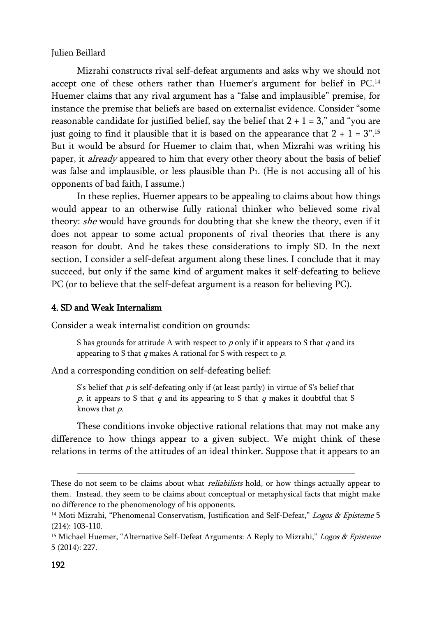Mizrahi constructs rival self-defeat arguments and asks why we should not accept one of these others rather than Huemer's argument for belief in PC.<sup>14</sup> Huemer claims that any rival argument has a "false and implausible" premise, for instance the premise that beliefs are based on externalist evidence. Consider "some reasonable candidate for justified belief, say the belief that  $2 + 1 = 3$ ," and "you are just going to find it plausible that it is based on the appearance that 2 + 1 =  $3^{\circ}.{}^{15}$ But it would be absurd for Huemer to claim that, when Mizrahi was writing his paper, it *already* appeared to him that every other theory about the basis of belief was false and implausible, or less plausible than P1. (He is not accusing all of his opponents of bad faith, I assume.)

In these replies, Huemer appears to be appealing to claims about how things would appear to an otherwise fully rational thinker who believed some rival theory: *she* would have grounds for doubting that she knew the theory, even if it does not appear to some actual proponents of rival theories that there is any reason for doubt. And he takes these considerations to imply SD. In the next section, I consider a self-defeat argument along these lines. I conclude that it may succeed, but only if the same kind of argument makes it self-defeating to believe PC (or to believe that the self-defeat argument is a reason for believing PC).

## 4. SD and Weak Internalism

Consider a weak internalist condition on grounds:

S has grounds for attitude A with respect to  $p$  only if it appears to S that  $q$  and its appearing to S that  $q$  makes A rational for S with respect to  $p$ .

And a corresponding condition on self-defeating belief:

S's belief that  $p$  is self-defeating only if (at least partly) in virtue of S's belief that  $p$ , it appears to S that  $q$  and its appearing to S that  $q$  makes it doubtful that S knows that p.

These conditions invoke objective rational relations that may not make any difference to how things appear to a given subject. We might think of these relations in terms of the attitudes of an ideal thinker. Suppose that it appears to an

1

These do not seem to be claims about what *reliabilists* hold, or how things actually appear to them. Instead, they seem to be claims about conceptual or metaphysical facts that might make no difference to the phenomenology of his opponents.

<sup>&</sup>lt;sup>14</sup> Moti Mizrahi, "Phenomenal Conservatism, Justification and Self-Defeat," Logos & Episteme 5 (214): 103-110.

<sup>&</sup>lt;sup>15</sup> Michael Huemer, "Alternative Self-Defeat Arguments: A Reply to Mizrahi," Logos & Episteme 5 (2014): 227.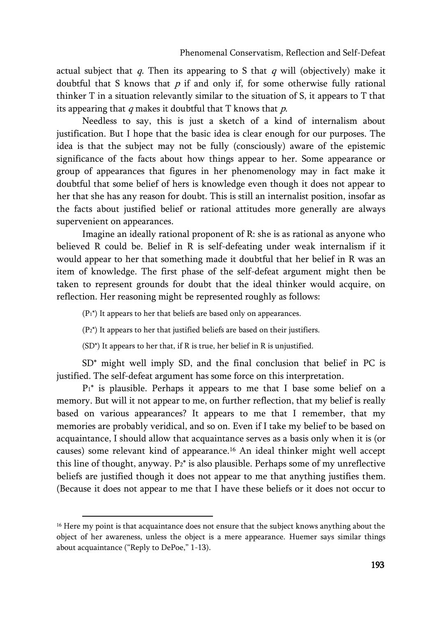actual subject that  $q$ . Then its appearing to S that  $q$  will (objectively) make it doubtful that S knows that  $p$  if and only if, for some otherwise fully rational thinker T in a situation relevantly similar to the situation of S, it appears to T that its appearing that  $q$  makes it doubtful that  $T$  knows that  $p$ .

Needless to say, this is just a sketch of a kind of internalism about justification. But I hope that the basic idea is clear enough for our purposes. The idea is that the subject may not be fully (consciously) aware of the epistemic significance of the facts about how things appear to her. Some appearance or group of appearances that figures in her phenomenology may in fact make it doubtful that some belief of hers is knowledge even though it does not appear to her that she has any reason for doubt. This is still an internalist position, insofar as the facts about justified belief or rational attitudes more generally are always supervenient on appearances.

Imagine an ideally rational proponent of R: she is as rational as anyone who believed R could be. Belief in R is self-defeating under weak internalism if it would appear to her that something made it doubtful that her belief in R was an item of knowledge. The first phase of the self-defeat argument might then be taken to represent grounds for doubt that the ideal thinker would acquire, on reflection. Her reasoning might be represented roughly as follows:

 $(P_1^*)$  It appears to her that beliefs are based only on appearances.

(P2\*) It appears to her that justified beliefs are based on their justifiers.

(SD\*) It appears to her that, if R is true, her belief in R is unjustified.

SD\* might well imply SD, and the final conclusion that belief in PC is justified. The self-defeat argument has some force on this interpretation.

 $P_1^*$  is plausible. Perhaps it appears to me that I base some belief on a memory. But will it not appear to me, on further reflection, that my belief is really based on various appearances? It appears to me that I remember, that my memories are probably veridical, and so on. Even if I take my belief to be based on acquaintance, I should allow that acquaintance serves as a basis only when it is (or causes) some relevant kind of appearance.<sup>16</sup> An ideal thinker might well accept this line of thought, anyway.  $P_2^*$  is also plausible. Perhaps some of my unreflective beliefs are justified though it does not appear to me that anything justifies them. (Because it does not appear to me that I have these beliefs or it does not occur to

 $16$  Here my point is that acquaintance does not ensure that the subject knows anything about the object of her awareness, unless the object is a mere appearance. Huemer says similar things about acquaintance ("Reply to DePoe," 1-13).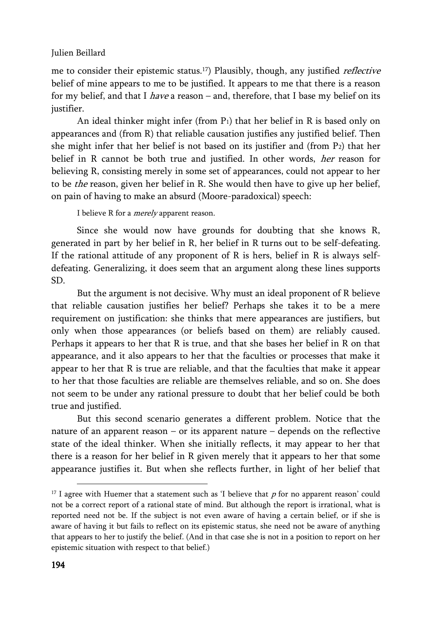me to consider their epistemic status.<sup>17</sup>) Plausibly, though, any justified *reflective* belief of mine appears to me to be justified. It appears to me that there is a reason for my belief, and that I *have* a reason – and, therefore, that I base my belief on its justifier.

An ideal thinker might infer (from  $P_1$ ) that her belief in R is based only on appearances and (from R) that reliable causation justifies any justified belief. Then she might infer that her belief is not based on its justifier and (from P2) that her belief in R cannot be both true and justified. In other words, her reason for believing R, consisting merely in some set of appearances, could not appear to her to be the reason, given her belief in R. She would then have to give up her belief, on pain of having to make an absurd (Moore-paradoxical) speech:

I believe R for a *merely* apparent reason.

Since she would now have grounds for doubting that she knows R, generated in part by her belief in R, her belief in R turns out to be self-defeating. If the rational attitude of any proponent of R is hers, belief in R is always selfdefeating. Generalizing, it does seem that an argument along these lines supports SD.

But the argument is not decisive. Why must an ideal proponent of R believe that reliable causation justifies her belief? Perhaps she takes it to be a mere requirement on justification: she thinks that mere appearances are justifiers, but only when those appearances (or beliefs based on them) are reliably caused. Perhaps it appears to her that R is true, and that she bases her belief in R on that appearance, and it also appears to her that the faculties or processes that make it appear to her that R is true are reliable, and that the faculties that make it appear to her that those faculties are reliable are themselves reliable, and so on. She does not seem to be under any rational pressure to doubt that her belief could be both true and justified.

But this second scenario generates a different problem. Notice that the nature of an apparent reason – or its apparent nature – depends on the reflective state of the ideal thinker. When she initially reflects, it may appear to her that there is a reason for her belief in R given merely that it appears to her that some appearance justifies it. But when she reflects further, in light of her belief that

 $17$  I agree with Huemer that a statement such as 'I believe that p for no apparent reason' could not be a correct report of a rational state of mind. But although the report is irrational, what is reported need not be. If the subject is not even aware of having a certain belief, or if she is aware of having it but fails to reflect on its epistemic status, she need not be aware of anything that appears to her to justify the belief. (And in that case she is not in a position to report on her epistemic situation with respect to that belief.)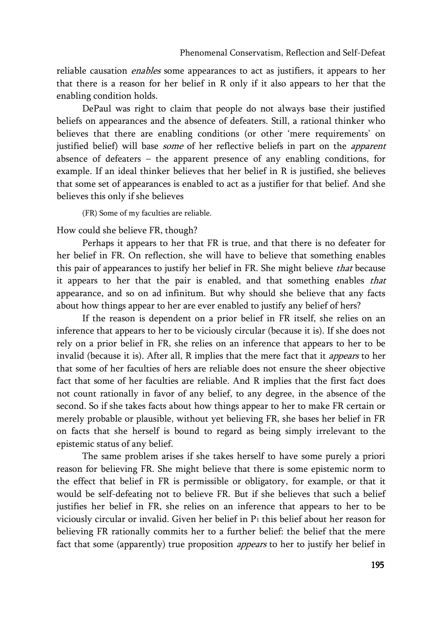reliable causation *enables* some appearances to act as justifiers, it appears to her that there is a reason for her belief in R only if it also appears to her that the enabling condition holds.

DePaul was right to claim that people do not always base their justified beliefs on appearances and the absence of defeaters. Still, a rational thinker who believes that there are enabling conditions (or other 'mere requirements' on justified belief) will base some of her reflective beliefs in part on the apparent absence of defeaters – the apparent presence of any enabling conditions, for example. If an ideal thinker believes that her belief in R is justified, she believes that some set of appearances is enabled to act as a justifier for that belief. And she believes this only if she believes

(FR) Some of my faculties are reliable.

How could she believe FR, though?

Perhaps it appears to her that FR is true, and that there is no defeater for her belief in FR. On reflection, she will have to believe that something enables this pair of appearances to justify her belief in FR. She might believe that because it appears to her that the pair is enabled, and that something enables that appearance, and so on ad infinitum. But why should she believe that any facts about how things appear to her are ever enabled to justify any belief of hers?

If the reason is dependent on a prior belief in FR itself, she relies on an inference that appears to her to be viciously circular (because it is). If she does not rely on a prior belief in FR, she relies on an inference that appears to her to be invalid (because it is). After all, R implies that the mere fact that it *appears* to her that some of her faculties of hers are reliable does not ensure the sheer objective fact that some of her faculties are reliable. And R implies that the first fact does not count rationally in favor of any belief, to any degree, in the absence of the second. So if she takes facts about how things appear to her to make FR certain or merely probable or plausible, without yet believing FR, she bases her belief in FR on facts that she herself is bound to regard as being simply irrelevant to the epistemic status of any belief.

The same problem arises if she takes herself to have some purely a priori reason for believing FR. She might believe that there is some epistemic norm to the effect that belief in FR is permissible or obligatory, for example, or that it would be self-defeating not to believe FR. But if she believes that such a belief justifies her belief in FR, she relies on an inference that appears to her to be viciously circular or invalid. Given her belief in  $P_1$  this belief about her reason for believing FR rationally commits her to a further belief: the belief that the mere fact that some (apparently) true proposition *appears* to her to justify her belief in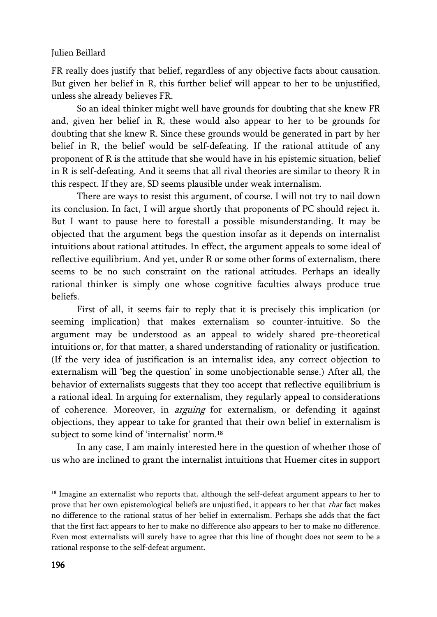FR really does justify that belief, regardless of any objective facts about causation. But given her belief in R, this further belief will appear to her to be unjustified, unless she already believes FR.

So an ideal thinker might well have grounds for doubting that she knew FR and, given her belief in R, these would also appear to her to be grounds for doubting that she knew R. Since these grounds would be generated in part by her belief in R, the belief would be self-defeating. If the rational attitude of any proponent of R is the attitude that she would have in his epistemic situation, belief in R is self-defeating. And it seems that all rival theories are similar to theory R in this respect. If they are, SD seems plausible under weak internalism.

There are ways to resist this argument, of course. I will not try to nail down its conclusion. In fact, I will argue shortly that proponents of PC should reject it. But I want to pause here to forestall a possible misunderstanding. It may be objected that the argument begs the question insofar as it depends on internalist intuitions about rational attitudes. In effect, the argument appeals to some ideal of reflective equilibrium. And yet, under R or some other forms of externalism, there seems to be no such constraint on the rational attitudes. Perhaps an ideally rational thinker is simply one whose cognitive faculties always produce true beliefs.

First of all, it seems fair to reply that it is precisely this implication (or seeming implication) that makes externalism so counter-intuitive. So the argument may be understood as an appeal to widely shared pre-theoretical intuitions or, for that matter, a shared understanding of rationality or justification. (If the very idea of justification is an internalist idea, any correct objection to externalism will 'beg the question' in some unobjectionable sense.) After all, the behavior of externalists suggests that they too accept that reflective equilibrium is a rational ideal. In arguing for externalism, they regularly appeal to considerations of coherence. Moreover, in arguing for externalism, or defending it against objections, they appear to take for granted that their own belief in externalism is subject to some kind of 'internalist' norm.<sup>18</sup>

In any case, I am mainly interested here in the question of whether those of us who are inclined to grant the internalist intuitions that Huemer cites in support

<sup>&</sup>lt;sup>18</sup> Imagine an externalist who reports that, although the self-defeat argument appears to her to prove that her own epistemological beliefs are unjustified, it appears to her that that fact makes no difference to the rational status of her belief in externalism. Perhaps she adds that the fact that the first fact appears to her to make no difference also appears to her to make no difference. Even most externalists will surely have to agree that this line of thought does not seem to be a rational response to the self-defeat argument.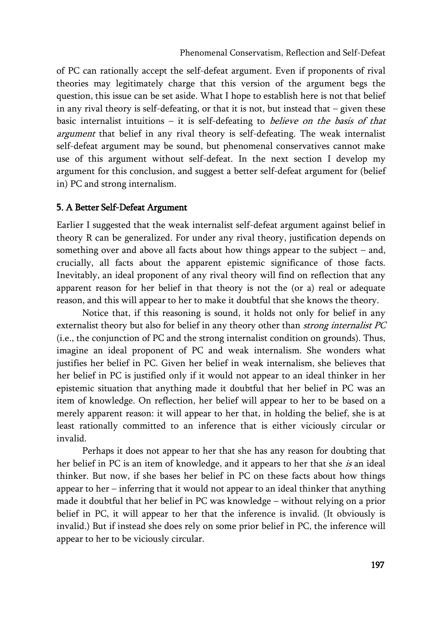of PC can rationally accept the self-defeat argument. Even if proponents of rival theories may legitimately charge that this version of the argument begs the question, this issue can be set aside. What I hope to establish here is not that belief in any rival theory is self-defeating, or that it is not, but instead that  $-$  given these basic internalist intuitions  $-$  it is self-defeating to *believe on the basis of that* argument that belief in any rival theory is self-defeating. The weak internalist self-defeat argument may be sound, but phenomenal conservatives cannot make use of this argument without self-defeat. In the next section I develop my argument for this conclusion, and suggest a better self-defeat argument for (belief in) PC and strong internalism.

#### 5. A Better Self-Defeat Argument

Earlier I suggested that the weak internalist self-defeat argument against belief in theory R can be generalized. For under any rival theory, justification depends on something over and above all facts about how things appear to the subject – and, crucially, all facts about the apparent epistemic significance of those facts. Inevitably, an ideal proponent of any rival theory will find on reflection that any apparent reason for her belief in that theory is not the (or a) real or adequate reason, and this will appear to her to make it doubtful that she knows the theory.

Notice that, if this reasoning is sound, it holds not only for belief in any externalist theory but also for belief in any theory other than strong internalist PC (i.e., the conjunction of PC and the strong internalist condition on grounds). Thus, imagine an ideal proponent of PC and weak internalism. She wonders what justifies her belief in PC. Given her belief in weak internalism, she believes that her belief in PC is justified only if it would not appear to an ideal thinker in her epistemic situation that anything made it doubtful that her belief in PC was an item of knowledge. On reflection, her belief will appear to her to be based on a merely apparent reason: it will appear to her that, in holding the belief, she is at least rationally committed to an inference that is either viciously circular or invalid.

Perhaps it does not appear to her that she has any reason for doubting that her belief in PC is an item of knowledge, and it appears to her that she is an ideal thinker. But now, if she bases her belief in PC on these facts about how things appear to her – inferring that it would not appear to an ideal thinker that anything made it doubtful that her belief in PC was knowledge – without relying on a prior belief in PC, it will appear to her that the inference is invalid. (It obviously is invalid.) But if instead she does rely on some prior belief in PC, the inference will appear to her to be viciously circular.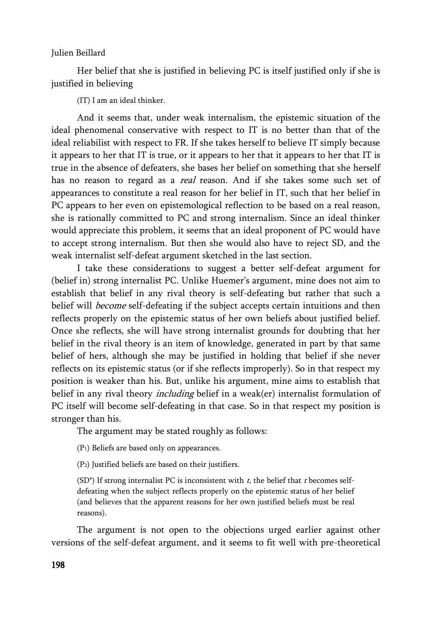Her belief that she is justified in believing PC is itself justified only if she is justified in believing

(IT) I am an ideal thinker.

And it seems that, under weak internalism, the epistemic situation of the ideal phenomenal conservative with respect to IT is no better than that of the ideal reliabilist with respect to FR. If she takes herself to believe IT simply because it appears to her that IT is true, or it appears to her that it appears to her that IT is true in the absence of defeaters, she bases her belief on something that she herself has no reason to regard as a *real* reason. And if she takes some such set of appearances to constitute a real reason for her belief in IT, such that her belief in PC appears to her even on epistemological reflection to be based on a real reason, she is rationally committed to PC and strong internalism. Since an ideal thinker would appreciate this problem, it seems that an ideal proponent of PC would have to accept strong internalism. But then she would also have to reject SD, and the weak internalist self-defeat argument sketched in the last section.

I take these considerations to suggest a better self-defeat argument for (belief in) strong internalist PC. Unlike Huemer's argument, mine does not aim to establish that belief in any rival theory is self-defeating but rather that such a belief will *become* self-defeating if the subject accepts certain intuitions and then reflects properly on the epistemic status of her own beliefs about justified belief. Once she reflects, she will have strong internalist grounds for doubting that her belief in the rival theory is an item of knowledge, generated in part by that same belief of hers, although she may be justified in holding that belief if she never reflects on its epistemic status (or if she reflects improperly). So in that respect my position is weaker than his. But, unlike his argument, mine aims to establish that belief in any rival theory *including* belief in a weak(er) internalist formulation of PC itself will become self-defeating in that case. So in that respect my position is stronger than his.

The argument may be stated roughly as follows:

(P1) Beliefs are based only on appearances.

(P2) Justified beliefs are based on their justifiers.

(SD<sup>\*</sup>) If strong internalist PC is inconsistent with  $t$ , the belief that  $t$  becomes selfdefeating when the subject reflects properly on the epistemic status of her belief (and believes that the apparent reasons for her own justified beliefs must be real reasons).

The argument is not open to the objections urged earlier against other versions of the self-defeat argument, and it seems to fit well with pre-theoretical